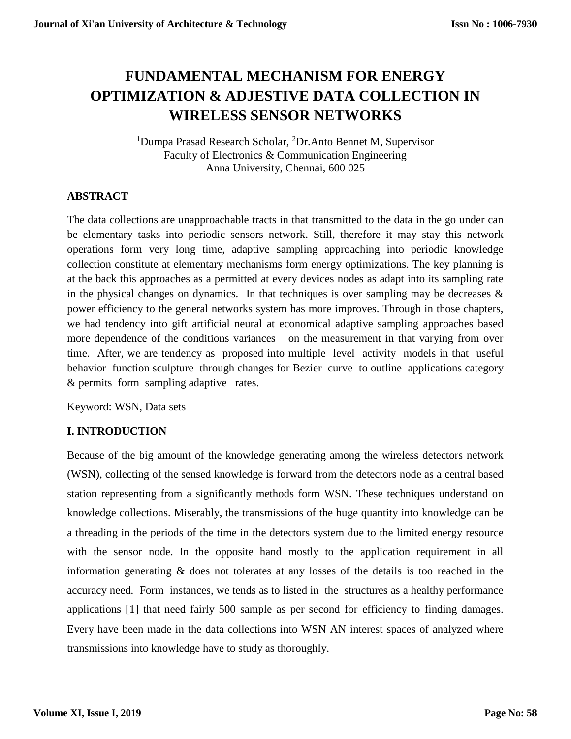# **FUNDAMENTAL MECHANISM FOR ENERGY OPTIMIZATION & ADJESTIVE DATA COLLECTION IN WIRELESS SENSOR NETWORKS**

<sup>1</sup>Dumpa Prasad Research Scholar, <sup>2</sup>Dr.Anto Bennet M, Supervisor Faculty of Electronics & Communication Engineering Anna University, Chennai, 600 025

# **ABSTRACT**

The data collections are unapproachable tracts in that transmitted to the data in the go under can be elementary tasks into periodic sensors network. Still, therefore it may stay this network operations form very long time, adaptive sampling approaching into periodic knowledge collection constitute at elementary mechanisms form energy optimizations. The key planning is at the back this approaches as a permitted at every devices nodes as adapt into its sampling rate in the physical changes on dynamics. In that techniques is over sampling may be decreases  $\&$ power efficiency to the general networks system has more improves. Through in those chapters, we had tendency into gift artificial neural at economical adaptive sampling approaches based more dependence of the conditions variances on the measurement in that varying from over time. After, we are tendency as proposed into multiple level activity models in that useful behavior function sculpture through changes for Bezier curve to outline applications category & permits form sampling adaptive rates.

Keyword: WSN, Data sets

# **I. INTRODUCTION**

Because of the big amount of the knowledge generating among the wireless detectors network (WSN), collecting of the sensed knowledge is forward from the detectors node as a central based station representing from a significantly methods form WSN. These techniques understand on knowledge collections. Miserably, the transmissions of the huge quantity into knowledge can be a threading in the periods of the time in the detectors system due to the limited energy resource with the sensor node. In the opposite hand mostly to the application requirement in all information generating & does not tolerates at any losses of the details is too reached in the accuracy need. Form instances, we tends as to listed in the structures as a healthy performance applications [1] that need fairly 500 sample as per second for efficiency to finding damages. Every have been made in the data collections into WSN AN interest spaces of analyzed where transmissions into knowledge have to study as thoroughly.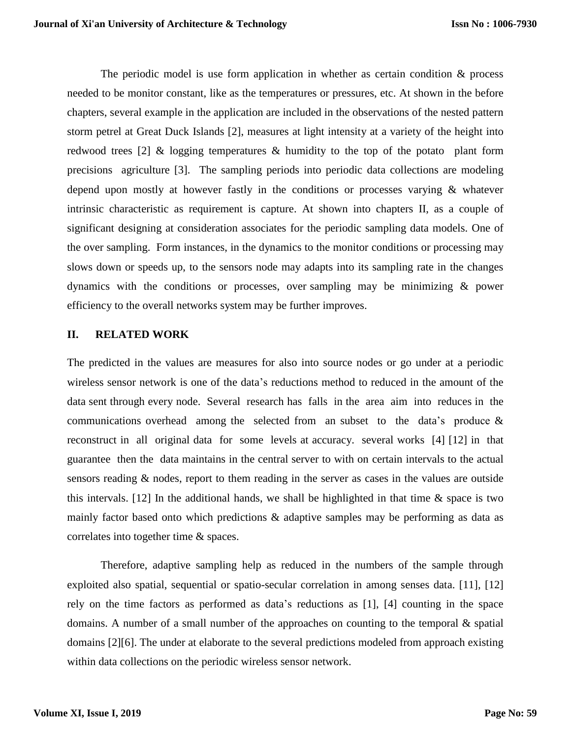The periodic model is use form application in whether as certain condition  $\&$  process needed to be monitor constant, like as the temperatures or pressures, etc. At shown in the before chapters, several example in the application are included in the observations of the nested pattern storm petrel at Great Duck Islands [2], measures at light intensity at a variety of the height into redwood trees [2] & logging temperatures & humidity to the top of the potato plant form precisions agriculture [3]. The sampling periods into periodic data collections are modeling depend upon mostly at however fastly in the conditions or processes varying & whatever intrinsic characteristic as requirement is capture. At shown into chapters II, as a couple of significant designing at consideration associates for the periodic sampling data models. One of the over sampling. Form instances, in the dynamics to the monitor conditions or processing may slows down or speeds up, to the sensors node may adapts into its sampling rate in the changes dynamics with the conditions or processes, over sampling may be minimizing & power efficiency to the overall networks system may be further improves.

#### **II. RELATED WORK**

The predicted in the values are measures for also into source nodes or go under at a periodic wireless sensor network is one of the data's reductions method to reduced in the amount of the data sent through every node. Several research has falls in the area aim into reduces in the communications overhead among the selected from an subset to the data's produce & reconstruct in all original data for some levels at accuracy. several works [4] [12] in that guarantee then the data maintains in the central server to with on certain intervals to the actual sensors reading & nodes, report to them reading in the server as cases in the values are outside this intervals. [12] In the additional hands, we shall be highlighted in that time  $\&$  space is two mainly factor based onto which predictions & adaptive samples may be performing as data as correlates into together time & spaces.

Therefore, adaptive sampling help as reduced in the numbers of the sample through exploited also spatial, sequential or spatio-secular correlation in among senses data. [11], [12] rely on the time factors as performed as data's reductions as [1], [4] counting in the space domains. A number of a small number of the approaches on counting to the temporal & spatial domains [2][6]. The under at elaborate to the several predictions modeled from approach existing within data collections on the periodic wireless sensor network.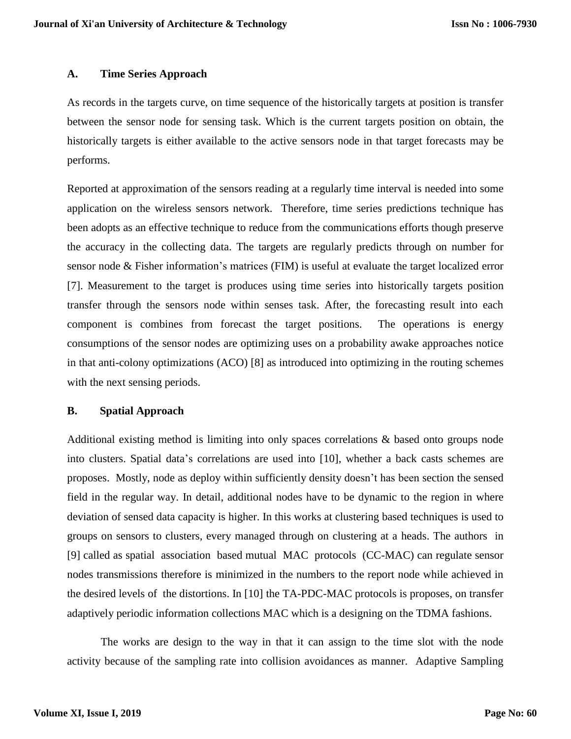### **A. Time Series Approach**

As records in the targets curve, on time sequence of the historically targets at position is transfer between the sensor node for sensing task. Which is the current targets position on obtain, the historically targets is either available to the active sensors node in that target forecasts may be performs.

Reported at approximation of the sensors reading at a regularly time interval is needed into some application on the wireless sensors network. Therefore, time series predictions technique has been adopts as an effective technique to reduce from the communications efforts though preserve the accuracy in the collecting data. The targets are regularly predicts through on number for sensor node & Fisher information's matrices (FIM) is useful at evaluate the target localized error [7]. Measurement to the target is produces using time series into historically targets position transfer through the sensors node within senses task. After, the forecasting result into each component is combines from forecast the target positions. The operations is energy consumptions of the sensor nodes are optimizing uses on a probability awake approaches notice in that anti-colony optimizations (ACO) [8] as introduced into optimizing in the routing schemes with the next sensing periods.

### **B. Spatial Approach**

Additional existing method is limiting into only spaces correlations & based onto groups node into clusters. Spatial data's correlations are used into [10], whether a back casts schemes are proposes. Mostly, node as deploy within sufficiently density doesn't has been section the sensed field in the regular way. In detail, additional nodes have to be dynamic to the region in where deviation of sensed data capacity is higher. In this works at clustering based techniques is used to groups on sensors to clusters, every managed through on clustering at a heads. The authors in [9] called as spatial association based mutual MAC protocols (CC-MAC) can regulate sensor nodes transmissions therefore is minimized in the numbers to the report node while achieved in the desired levels of the distortions. In [10] the TA-PDC-MAC protocols is proposes, on transfer adaptively periodic information collections MAC which is a designing on the TDMA fashions.

The works are design to the way in that it can assign to the time slot with the node activity because of the sampling rate into collision avoidances as manner. Adaptive Sampling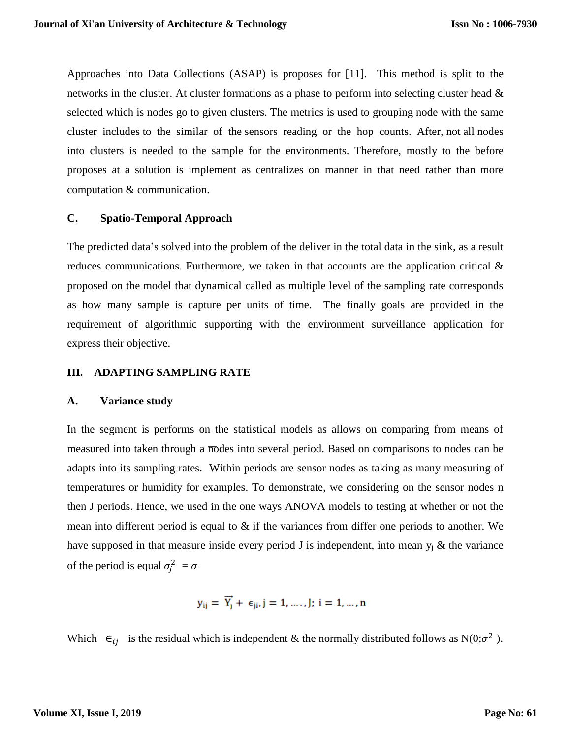Approaches into Data Collections (ASAP) is proposes for [11]. This method is split to the networks in the cluster. At cluster formations as a phase to perform into selecting cluster head & selected which is nodes go to given clusters. The metrics is used to grouping node with the same cluster includes to the similar of the sensors reading or the hop counts. After, not all nodes into clusters is needed to the sample for the environments. Therefore, mostly to the before proposes at a solution is implement as centralizes on manner in that need rather than more computation & communication.

#### **C. Spatio-Temporal Approach**

The predicted data's solved into the problem of the deliver in the total data in the sink, as a result reduces communications. Furthermore, we taken in that accounts are the application critical & proposed on the model that dynamical called as multiple level of the sampling rate corresponds as how many sample is capture per units of time. The finally goals are provided in the requirement of algorithmic supporting with the environment surveillance application for express their objective.

### **III. ADAPTING SAMPLING RATE**

#### **A. Variance study**

In the segment is performs on the statistical models as allows on comparing from means of measured into taken through a  $\overline{n}$  odes into several period. Based on comparisons to nodes can be adapts into its sampling rates. Within periods are sensor nodes as taking as many measuring of temperatures or humidity for examples. To demonstrate, we considering on the sensor nodes n then J periods. Hence, we used in the one ways ANOVA models to testing at whether or not the mean into different period is equal to  $\&$  if the variances from differ one periods to another. We have supposed in that measure inside every period J is independent, into mean  $y_i \&$  the variance of the period is equal  $\sigma_j^2 = \sigma$ 

$$
y_{ij} = \overrightarrow{Y}_j + \varepsilon_{ji}, j = 1, \ldots, J; i = 1, \ldots, n
$$

Which  $\epsilon_{ij}$  is the residual which is independent & the normally distributed follows as N(0; $\sigma^2$ ).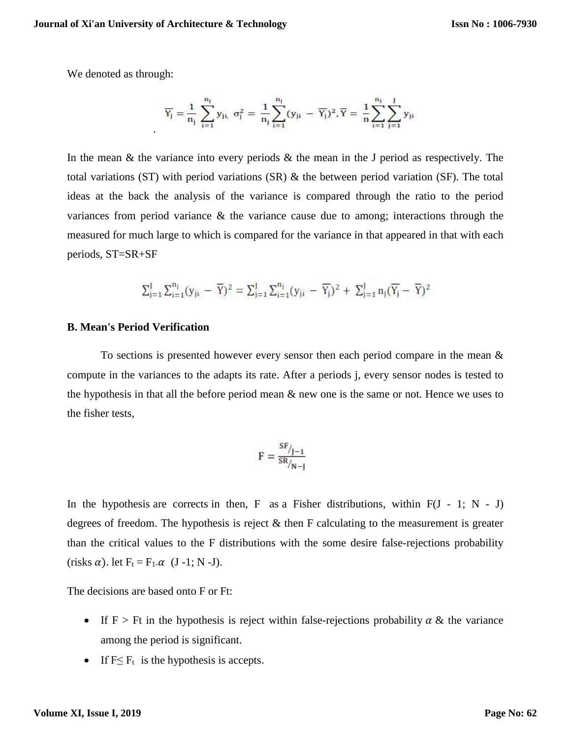.

We denoted as through:

$$
\overline{Y_j} = \frac{1}{n_j} \sum_{i=1}^{n_j} y_{ji.} \ \sigma_j^2 = \frac{1}{n_j} \sum_{i=1}^{n_j} (y_{ji.} - \overline{Y_j})^2, \overline{Y} = \frac{1}{n} \sum_{i=1}^{n_j} \sum_{j=1}^{j} y_{ji}
$$

In the mean  $\&$  the variance into every periods  $\&$  the mean in the J period as respectively. The total variations (ST) with period variations (SR) & the between period variation (SF). The total ideas at the back the analysis of the variance is compared through the ratio to the period variances from period variance & the variance cause due to among; interactions through the measured for much large to which is compared for the variance in that appeared in that with each periods, ST=SR+SF

$$
\Sigma_{j=1}^J \Sigma_{i=1}^{n_j} (y_{ji} - \overline{Y})^2 = \Sigma_{j=1}^J \Sigma_{i=1}^{n_j} (y_{ji} - \overline{Y}_j)^2 + \Sigma_{j=1}^J n_j (\overline{Y}_j - \overline{Y})^2
$$

#### **B. Mean's Period Verification**

To sections is presented however every sensor then each period compare in the mean  $\&$ compute in the variances to the adapts its rate. After a periods j, every sensor nodes is tested to the hypothesis in that all the before period mean & new one is the same or not. Hence we uses to the fisher tests,

$$
F = \frac{SF_{/J-1}}{SR_{/N-J}}
$$

In the hypothesis are corrects in then, F as a Fisher distributions, within  $F(J - 1; N - J)$ degrees of freedom. The hypothesis is reject & then F calculating to the measurement is greater than the critical values to the F distributions with the some desire false-rejections probability (risks  $\alpha$ ). let  $F_t = F_1 \alpha$  (J -1; N -J).

The decisions are based onto F or Ft:

- If F > Ft in the hypothesis is reject within false-rejections probability  $\alpha \&$  the variance among the period is significant.
- If  $F \leq F_t$  is the hypothesis is accepts.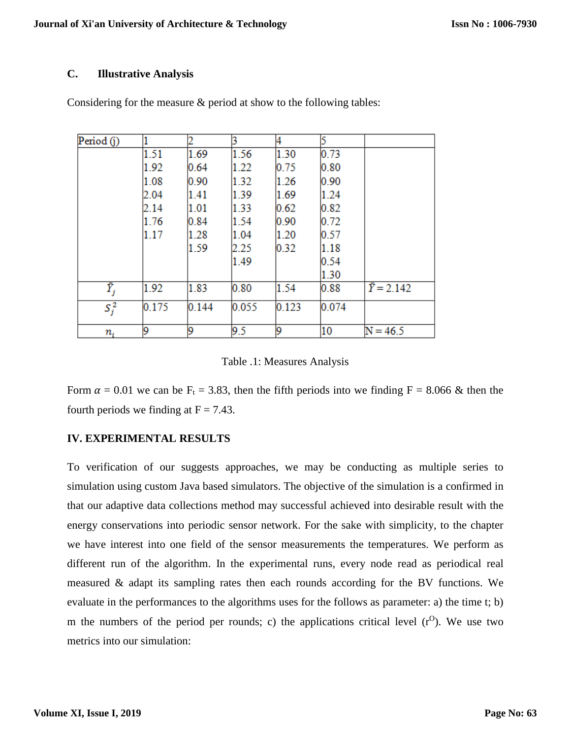## **C. Illustrative Analysis**

| Period (j)  |       |       | 3     | 4     | 5     |                   |
|-------------|-------|-------|-------|-------|-------|-------------------|
|             | 1.51  | 1.69  | 1.56  | 1.30  | 0.73  |                   |
|             | 1.92  | 0.64  | 1.22  | 0.75  | 0.80  |                   |
|             | 1.08  | 0.90  | 1.32  | 1.26  | 0.90  |                   |
|             | 2.04  | 1.41  | 1.39  | 1.69  | 1.24  |                   |
|             | 2.14  | 1.01  | 1.33  | 0.62  | 0.82  |                   |
|             | 1.76  | 0.84  | 1.54  | 0.90  | 0.72  |                   |
|             | 1.17  | 1.28  | 1.04  | 1.20  | 0.57  |                   |
|             |       | 1.59  | 2.25  | 0.32  | 1.18  |                   |
|             |       |       | 1.49  |       | 0.54  |                   |
|             |       |       |       |       | 1.30  |                   |
| $\bar{Y}_j$ | 1.92  | 1.83  | 0.80  | 1.54  | 0.88  | $\bar{Y} = 2.142$ |
| $S_i^2$     | 0.175 | 0.144 | 0.055 | 0.123 | 0.074 |                   |
| $\pmb{n}_i$ | 9     | 9     | 9.5   | 9     | 10    | $N = 46.5$        |

Considering for the measure  $\&$  period at show to the following tables:

Table .1: Measures Analysis

Form  $\alpha = 0.01$  we can be F<sub>t</sub> = 3.83, then the fifth periods into we finding F = 8.066 & then the fourth periods we finding at  $F = 7.43$ .

# **IV. EXPERIMENTAL RESULTS**

To verification of our suggests approaches, we may be conducting as multiple series to simulation using custom Java based simulators. The objective of the simulation is a confirmed in that our adaptive data collections method may successful achieved into desirable result with the energy conservations into periodic sensor network. For the sake with simplicity, to the chapter we have interest into one field of the sensor measurements the temperatures. We perform as different run of the algorithm. In the experimental runs, every node read as periodical real measured & adapt its sampling rates then each rounds according for the BV functions. We evaluate in the performances to the algorithms uses for the follows as parameter: a) the time t; b) m the numbers of the period per rounds; c) the applications critical level  $(r^O)$ . We use two metrics into our simulation: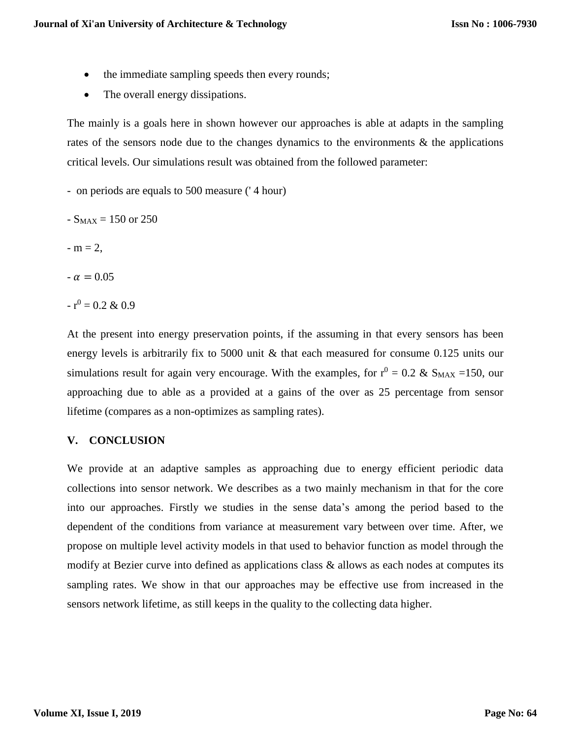- the immediate sampling speeds then every rounds;
- The overall energy dissipations.

The mainly is a goals here in shown however our approaches is able at adapts in the sampling rates of the sensors node due to the changes dynamics to the environments & the applications critical levels. Our simulations result was obtained from the followed parameter:

- on periods are equals to 500 measure (' 4 hour)

 $-S_{MAX} = 150$  or 250

 $-m = 2$ .

 $- \alpha = 0.05$ 

 $- r^0 = 0.2 \& 0.9$ 

At the present into energy preservation points, if the assuming in that every sensors has been energy levels is arbitrarily fix to 5000 unit & that each measured for consume 0.125 units our simulations result for again very encourage. With the examples, for  $r^0 = 0.2 \& S_{MAX} = 150$ , our approaching due to able as a provided at a gains of the over as 25 percentage from sensor lifetime (compares as a non-optimizes as sampling rates).

# **V. CONCLUSION**

We provide at an adaptive samples as approaching due to energy efficient periodic data collections into sensor network. We describes as a two mainly mechanism in that for the core into our approaches. Firstly we studies in the sense data's among the period based to the dependent of the conditions from variance at measurement vary between over time. After, we propose on multiple level activity models in that used to behavior function as model through the modify at Bezier curve into defined as applications class & allows as each nodes at computes its sampling rates. We show in that our approaches may be effective use from increased in the sensors network lifetime, as still keeps in the quality to the collecting data higher.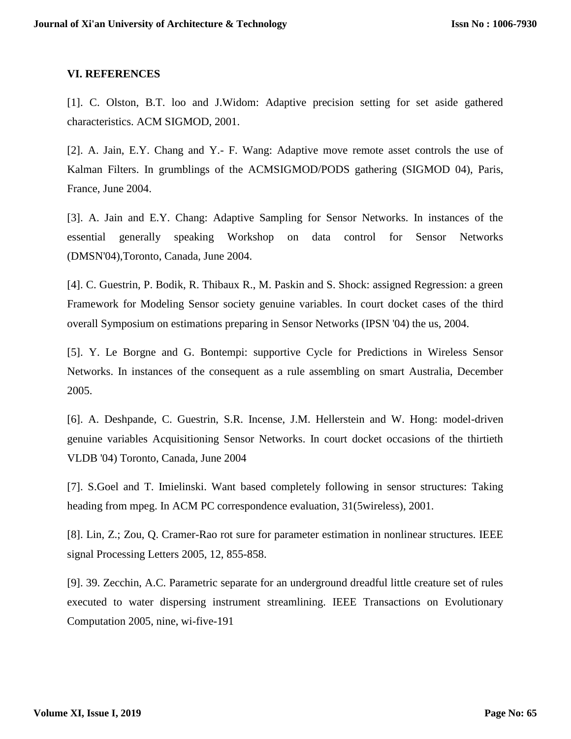#### **VI. REFERENCES**

[1]. C. Olston, B.T. loo and J.Widom: Adaptive precision setting for set aside gathered characteristics. ACM SIGMOD, 2001.

[2]. A. Jain, E.Y. Chang and Y.- F. Wang: Adaptive move remote asset controls the use of Kalman Filters. In grumblings of the ACMSIGMOD/PODS gathering (SIGMOD 04), Paris, France, June 2004.

[3]. A. Jain and E.Y. Chang: Adaptive Sampling for Sensor Networks. In instances of the essential generally speaking Workshop on data control for Sensor Networks (DMSN'04),Toronto, Canada, June 2004.

[4]. C. Guestrin, P. Bodik, R. Thibaux R., M. Paskin and S. Shock: assigned Regression: a green Framework for Modeling Sensor society genuine variables. In court docket cases of the third overall Symposium on estimations preparing in Sensor Networks (IPSN '04) the us, 2004.

[5]. Y. Le Borgne and G. Bontempi: supportive Cycle for Predictions in Wireless Sensor Networks. In instances of the consequent as a rule assembling on smart Australia, December 2005.

[6]. A. Deshpande, C. Guestrin, S.R. Incense, J.M. Hellerstein and W. Hong: model-driven genuine variables Acquisitioning Sensor Networks. In court docket occasions of the thirtieth VLDB '04) Toronto, Canada, June 2004

[7]. S.Goel and T. Imielinski. Want based completely following in sensor structures: Taking heading from mpeg. In ACM PC correspondence evaluation, 31(5wireless), 2001.

[8]. Lin, Z.; Zou, Q. Cramer-Rao rot sure for parameter estimation in nonlinear structures. IEEE signal Processing Letters 2005, 12, 855-858.

[9]. 39. Zecchin, A.C. Parametric separate for an underground dreadful little creature set of rules executed to water dispersing instrument streamlining. IEEE Transactions on Evolutionary Computation 2005, nine, wi-five-191